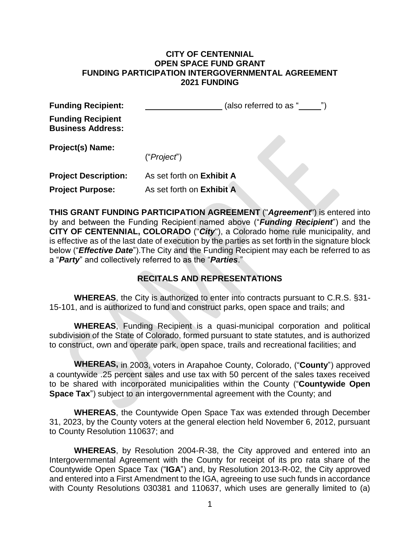#### **CITY OF CENTENNIAL OPEN SPACE FUND GRANT FUNDING PARTICIPATION INTERGOVERNMENTAL AGREEMENT 2021 FUNDING**

| <b>Funding Recipient:</b>                            |                           | (also referred to as " |
|------------------------------------------------------|---------------------------|------------------------|
| <b>Funding Recipient</b><br><b>Business Address:</b> |                           |                        |
| <b>Project(s) Name:</b>                              |                           |                        |
|                                                      | ("Project")               |                        |
| <b>Project Description:</b>                          | As set forth on Exhibit A |                        |

**Project Purpose:** As set forth on **Exhibit A**

**THIS GRANT FUNDING PARTICIPATION AGREEMENT** ("*Agreement*") is entered into by and between the Funding Recipient named above ("*Funding Recipient*") and the **CITY OF CENTENNIAL, COLORADO** ("*City*"), a Colorado home rule municipality, and is effective as of the last date of execution by the parties as set forth in the signature block below ("*Effective Date*").The City and the Funding Recipient may each be referred to as a "*Party*" and collectively referred to as the "*Parties*."

# **RECITALS AND REPRESENTATIONS**

**WHEREAS**, the City is authorized to enter into contracts pursuant to C.R.S. §31- 15-101, and is authorized to fund and construct parks, open space and trails; and

**WHEREAS**, Funding Recipient is a quasi-municipal corporation and political subdivision of the State of Colorado, formed pursuant to state statutes, and is authorized to construct, own and operate park, open space, trails and recreational facilities; and

**WHEREAS,** in 2003, voters in Arapahoe County, Colorado, ("**County**") approved a countywide .25 percent sales and use tax with 50 percent of the sales taxes received to be shared with incorporated municipalities within the County ("**Countywide Open Space Tax**") subject to an intergovernmental agreement with the County; and

**WHEREAS**, the Countywide Open Space Tax was extended through December 31, 2023, by the County voters at the general election held November 6, 2012, pursuant to County Resolution 110637; and

**WHEREAS**, by Resolution 2004-R-38, the City approved and entered into an Intergovernmental Agreement with the County for receipt of its pro rata share of the Countywide Open Space Tax ("**IGA**") and, by Resolution 2013-R-02, the City approved and entered into a First Amendment to the IGA, agreeing to use such funds in accordance with County Resolutions 030381 and 110637, which uses are generally limited to (a)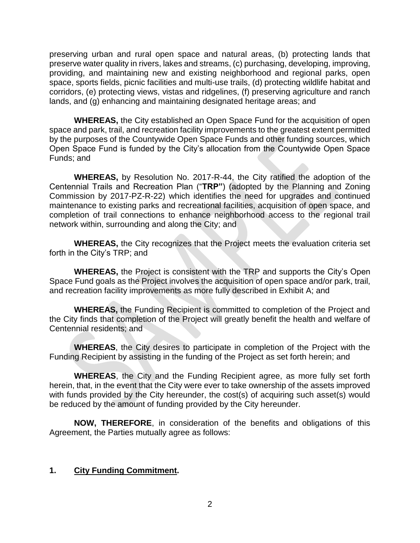preserving urban and rural open space and natural areas, (b) protecting lands that preserve water quality in rivers, lakes and streams, (c) purchasing, developing, improving, providing, and maintaining new and existing neighborhood and regional parks, open space, sports fields, picnic facilities and multi-use trails, (d) protecting wildlife habitat and corridors, (e) protecting views, vistas and ridgelines, (f) preserving agriculture and ranch lands, and (g) enhancing and maintaining designated heritage areas; and

**WHEREAS,** the City established an Open Space Fund for the acquisition of open space and park, trail, and recreation facility improvements to the greatest extent permitted by the purposes of the Countywide Open Space Funds and other funding sources, which Open Space Fund is funded by the City's allocation from the Countywide Open Space Funds; and

**WHEREAS,** by Resolution No. 2017-R-44, the City ratified the adoption of the Centennial Trails and Recreation Plan ("**TRP"**) (adopted by the Planning and Zoning Commission by 2017-PZ-R-22) which identifies the need for upgrades and continued maintenance to existing parks and recreational facilities, acquisition of open space, and completion of trail connections to enhance neighborhood access to the regional trail network within, surrounding and along the City; and

**WHEREAS,** the City recognizes that the Project meets the evaluation criteria set forth in the City's TRP; and

**WHEREAS,** the Project is consistent with the TRP and supports the City's Open Space Fund goals as the Project involves the acquisition of open space and/or park, trail, and recreation facility improvements as more fully described in Exhibit A; and

**WHEREAS,** the Funding Recipient is committed to completion of the Project and the City finds that completion of the Project will greatly benefit the health and welfare of Centennial residents; and

**WHEREAS**, the City desires to participate in completion of the Project with the Funding Recipient by assisting in the funding of the Project as set forth herein; and

**WHEREAS**, the City and the Funding Recipient agree, as more fully set forth herein, that, in the event that the City were ever to take ownership of the assets improved with funds provided by the City hereunder, the cost(s) of acquiring such asset(s) would be reduced by the amount of funding provided by the City hereunder.

**NOW, THEREFORE**, in consideration of the benefits and obligations of this Agreement, the Parties mutually agree as follows:

#### **1. City Funding Commitment.**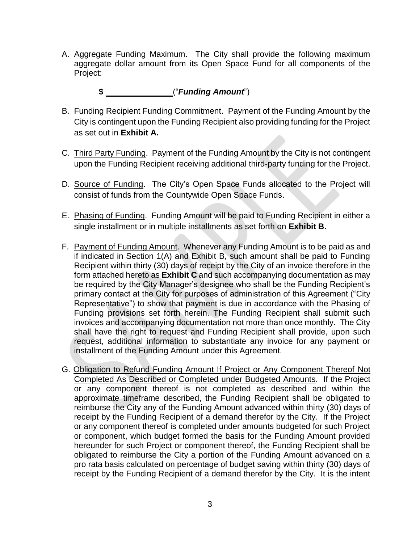A. Aggregate Funding Maximum. The City shall provide the following maximum aggregate dollar amount from its Open Space Fund for all components of the Project:

# **\$** ("*Funding Amount*")

- B. Funding Recipient Funding Commitment.Payment of the Funding Amount by the City is contingent upon the Funding Recipient also providing funding for the Project as set out in **Exhibit A.**
- C. Third Party Funding. Payment of the Funding Amount by the City is not contingent upon the Funding Recipient receiving additional third-party funding for the Project.
- D. Source of Funding. The City's Open Space Funds allocated to the Project will consist of funds from the Countywide Open Space Funds.
- E. Phasing of Funding. Funding Amount will be paid to Funding Recipient in either a single installment or in multiple installments as set forth on **Exhibit B.**
- F. Payment of Funding Amount. Whenever any Funding Amount is to be paid as and if indicated in Section 1(A) and Exhibit B, such amount shall be paid to Funding Recipient within thirty (30) days of receipt by the City of an invoice therefore in the form attached hereto as **Exhibit C** and such accompanying documentation as may be required by the City Manager's designee who shall be the Funding Recipient's primary contact at the City for purposes of administration of this Agreement ("City Representative") to show that payment is due in accordance with the Phasing of Funding provisions set forth herein. The Funding Recipient shall submit such invoices and accompanying documentation not more than once monthly. The City shall have the right to request and Funding Recipient shall provide, upon such request, additional information to substantiate any invoice for any payment or installment of the Funding Amount under this Agreement.
- G. Obligation to Refund Funding Amount If Project or Any Component Thereof Not Completed As Described or Completed under Budgeted Amounts. If the Project or any component thereof is not completed as described and within the approximate timeframe described, the Funding Recipient shall be obligated to reimburse the City any of the Funding Amount advanced within thirty (30) days of receipt by the Funding Recipient of a demand therefor by the City. If the Project or any component thereof is completed under amounts budgeted for such Project or component, which budget formed the basis for the Funding Amount provided hereunder for such Project or component thereof, the Funding Recipient shall be obligated to reimburse the City a portion of the Funding Amount advanced on a pro rata basis calculated on percentage of budget saving within thirty (30) days of receipt by the Funding Recipient of a demand therefor by the City. It is the intent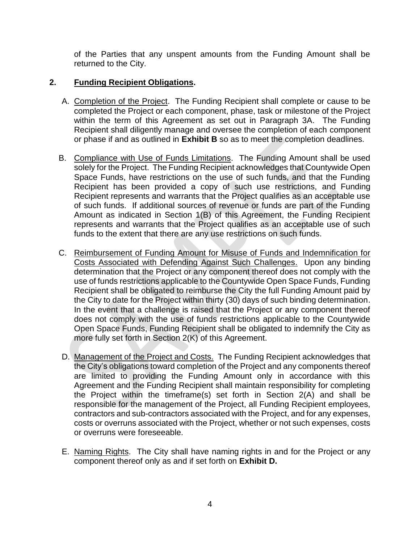of the Parties that any unspent amounts from the Funding Amount shall be returned to the City.

# **2. Funding Recipient Obligations.**

- A. Completion of the Project. The Funding Recipient shall complete or cause to be completed the Project or each component, phase, task or milestone of the Project within the term of this Agreement as set out in Paragraph 3A. The Funding Recipient shall diligently manage and oversee the completion of each component or phase if and as outlined in **Exhibit B** so as to meet the completion deadlines.
- B. Compliance with Use of Funds Limitations. The Funding Amount shall be used solely for the Project. The Funding Recipient acknowledges that Countywide Open Space Funds, have restrictions on the use of such funds, and that the Funding Recipient has been provided a copy of such use restrictions, and Funding Recipient represents and warrants that the Project qualifies as an acceptable use of such funds. If additional sources of revenue or funds are part of the Funding Amount as indicated in Section 1(B) of this Agreement, the Funding Recipient represents and warrants that the Project qualifies as an acceptable use of such funds to the extent that there are any use restrictions on such funds.
- C. Reimbursement of Funding Amount for Misuse of Funds and Indemnification for Costs Associated with Defending Against Such Challenges. Upon any binding determination that the Project or any component thereof does not comply with the use of funds restrictions applicable to the Countywide Open Space Funds, Funding Recipient shall be obligated to reimburse the City the full Funding Amount paid by the City to date for the Project within thirty (30) days of such binding determination. In the event that a challenge is raised that the Project or any component thereof does not comply with the use of funds restrictions applicable to the Countywide Open Space Funds, Funding Recipient shall be obligated to indemnify the City as more fully set forth in Section 2(K) of this Agreement.
- D. Management of the Project and Costs. The Funding Recipient acknowledges that the City's obligations toward completion of the Project and any components thereof are limited to providing the Funding Amount only in accordance with this Agreement and the Funding Recipient shall maintain responsibility for completing the Project within the timeframe(s) set forth in Section 2(A) and shall be responsible for the management of the Project, all Funding Recipient employees, contractors and sub-contractors associated with the Project, and for any expenses, costs or overruns associated with the Project, whether or not such expenses, costs or overruns were foreseeable.
- E. Naming Rights. The City shall have naming rights in and for the Project or any component thereof only as and if set forth on **Exhibit D.**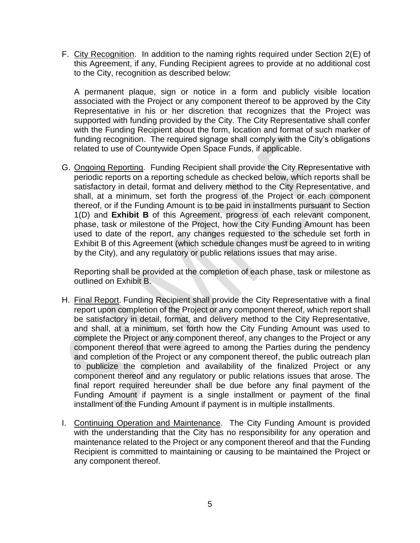F. City Recognition. In addition to the naming rights required under Section 2(E) of this Agreement, if any, Funding Recipient agrees to provide at no additional cost to the City, recognition as described below:

A permanent plaque, sign or notice in a form and publicly visible location associated with the Project or any component thereof to be approved by the City Representative in his or her discretion that recognizes that the Project was supported with funding provided by the City. The City Representative shall confer with the Funding Recipient about the form, location and format of such marker of funding recognition. The required signage shall comply with the City's obligations related to use of Countywide Open Space Funds, if applicable.

G. Ongoing Reporting. Funding Recipient shall provide the City Representative with periodic reports on a reporting schedule as checked below, which reports shall be satisfactory in detail, format and delivery method to the City Representative, and shall, at a minimum, set forth the progress of the Project or each component thereof, or if the Funding Amount is to be paid in installments pursuant to Section 1(D) and **Exhibit B** of this Agreement, progress of each relevant component, phase, task or milestone of the Project, how the City Funding Amount has been used to date of the report, any changes requested to the schedule set forth in Exhibit B of this Agreement (which schedule changes must be agreed to in writing by the City), and any regulatory or public relations issues that may arise.

Reporting shall be provided at the completion of each phase, task or milestone as outlined on Exhibit B.

- H. Final Report. Funding Recipient shall provide the City Representative with a final report upon completion of the Project or any component thereof, which report shall be satisfactory in detail, format, and delivery method to the City Representative, and shall, at a minimum, set forth how the City Funding Amount was used to complete the Project or any component thereof, any changes to the Project or any component thereof that were agreed to among the Parties during the pendency and completion of the Project or any component thereof, the public outreach plan to publicize the completion and availability of the finalized Project or any component thereof and any regulatory or public relations issues that arose. The final report required hereunder shall be due before any final payment of the Funding Amount if payment is a single installment or payment of the final installment of the Funding Amount if payment is in multiple installments.
- I. Continuing Operation and Maintenance. The City Funding Amount is provided with the understanding that the City has no responsibility for any operation and maintenance related to the Project or any component thereof and that the Funding Recipient is committed to maintaining or causing to be maintained the Project or any component thereof.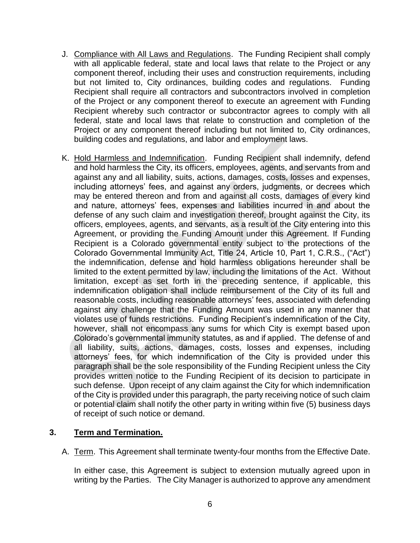- J. Compliance with All Laws and Regulations. The Funding Recipient shall comply with all applicable federal, state and local laws that relate to the Project or any component thereof, including their uses and construction requirements, including but not limited to, City ordinances, building codes and regulations. Funding Recipient shall require all contractors and subcontractors involved in completion of the Project or any component thereof to execute an agreement with Funding Recipient whereby such contractor or subcontractor agrees to comply with all federal, state and local laws that relate to construction and completion of the Project or any component thereof including but not limited to, City ordinances, building codes and regulations, and labor and employment laws.
- K. Hold Harmless and Indemnification. Funding Recipient shall indemnify, defend and hold harmless the City, its officers, employees, agents, and servants from and against any and all liability, suits, actions, damages, costs, losses and expenses, including attorneys' fees, and against any orders, judgments, or decrees which may be entered thereon and from and against all costs, damages of every kind and nature, attorneys' fees, expenses and liabilities incurred in and about the defense of any such claim and investigation thereof, brought against the City, its officers, employees, agents, and servants, as a result of the City entering into this Agreement, or providing the Funding Amount under this Agreement. If Funding Recipient is a Colorado governmental entity subject to the protections of the Colorado Governmental Immunity Act, Title 24, Article 10, Part 1, C.R.S., ("Act") the indemnification, defense and hold harmless obligations hereunder shall be limited to the extent permitted by law, including the limitations of the Act. Without limitation, except as set forth in the preceding sentence, if applicable, this indemnification obligation shall include reimbursement of the City of its full and reasonable costs, including reasonable attorneys' fees, associated with defending against any challenge that the Funding Amount was used in any manner that violates use of funds restrictions. Funding Recipient's indemnification of the City, however, shall not encompass any sums for which City is exempt based upon Colorado's governmental immunity statutes, as and if applied. The defense of and all liability, suits, actions, damages, costs, losses and expenses, including attorneys' fees, for which indemnification of the City is provided under this paragraph shall be the sole responsibility of the Funding Recipient unless the City provides written notice to the Funding Recipient of its decision to participate in such defense. Upon receipt of any claim against the City for which indemnification of the City is provided under this paragraph, the party receiving notice of such claim or potential claim shall notify the other party in writing within five (5) business days of receipt of such notice or demand.

#### **3. Term and Termination.**

A. Term. This Agreement shall terminate twenty-four months from the Effective Date.

In either case, this Agreement is subject to extension mutually agreed upon in writing by the Parties. The City Manager is authorized to approve any amendment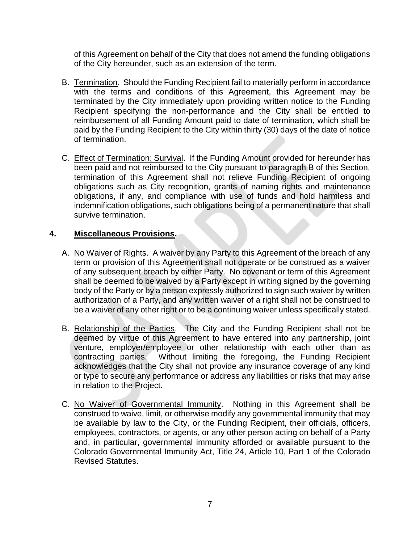of this Agreement on behalf of the City that does not amend the funding obligations of the City hereunder, such as an extension of the term.

- B. Termination. Should the Funding Recipient fail to materially perform in accordance with the terms and conditions of this Agreement, this Agreement may be terminated by the City immediately upon providing written notice to the Funding Recipient specifying the non-performance and the City shall be entitled to reimbursement of all Funding Amount paid to date of termination, which shall be paid by the Funding Recipient to the City within thirty (30) days of the date of notice of termination.
- C. Effect of Termination; Survival. If the Funding Amount provided for hereunder has been paid and not reimbursed to the City pursuant to paragraph B of this Section, termination of this Agreement shall not relieve Funding Recipient of ongoing obligations such as City recognition, grants of naming rights and maintenance obligations, if any, and compliance with use of funds and hold harmless and indemnification obligations, such obligations being of a permanent nature that shall survive termination.

# **4. Miscellaneous Provisions.**

- A. No Waiver of Rights. A waiver by any Party to this Agreement of the breach of any term or provision of this Agreement shall not operate or be construed as a waiver of any subsequent breach by either Party. No covenant or term of this Agreement shall be deemed to be waived by a Party except in writing signed by the governing body of the Party or by a person expressly authorized to sign such waiver by written authorization of a Party, and any written waiver of a right shall not be construed to be a waiver of any other right or to be a continuing waiver unless specifically stated.
- B. Relationship of the Parties. The City and the Funding Recipient shall not be deemed by virtue of this Agreement to have entered into any partnership, joint venture, employer/employee or other relationship with each other than as contracting parties. Without limiting the foregoing, the Funding Recipient acknowledges that the City shall not provide any insurance coverage of any kind or type to secure any performance or address any liabilities or risks that may arise in relation to the Project.
- C. No Waiver of Governmental Immunity. Nothing in this Agreement shall be construed to waive, limit, or otherwise modify any governmental immunity that may be available by law to the City, or the Funding Recipient, their officials, officers, employees, contractors, or agents, or any other person acting on behalf of a Party and, in particular, governmental immunity afforded or available pursuant to the Colorado Governmental Immunity Act, Title 24, Article 10, Part 1 of the Colorado Revised Statutes.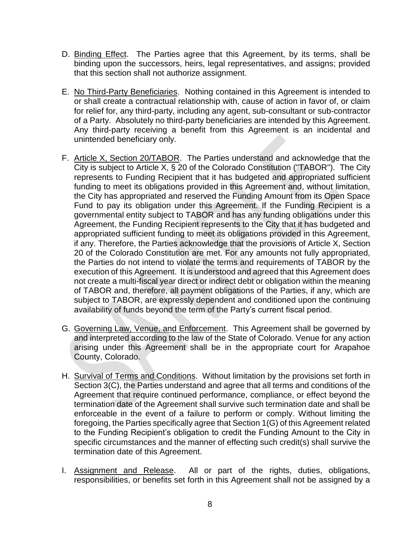- D. Binding Effect. The Parties agree that this Agreement, by its terms, shall be binding upon the successors, heirs, legal representatives, and assigns; provided that this section shall not authorize assignment.
- E. No Third-Party Beneficiaries. Nothing contained in this Agreement is intended to or shall create a contractual relationship with, cause of action in favor of, or claim for relief for, any third-party, including any agent, sub-consultant or sub-contractor of a Party. Absolutely no third-party beneficiaries are intended by this Agreement. Any third-party receiving a benefit from this Agreement is an incidental and unintended beneficiary only.
- F. Article X, Section 20/TABOR. The Parties understand and acknowledge that the City is subject to Article X, § 20 of the Colorado Constitution ("TABOR"). The City represents to Funding Recipient that it has budgeted and appropriated sufficient funding to meet its obligations provided in this Agreement and, without limitation, the City has appropriated and reserved the Funding Amount from its Open Space Fund to pay its obligation under this Agreement. If the Funding Recipient is a governmental entity subject to TABOR and has any funding obligations under this Agreement, the Funding Recipient represents to the City that it has budgeted and appropriated sufficient funding to meet its obligations provided in this Agreement, if any. Therefore, the Parties acknowledge that the provisions of Article X, Section 20 of the Colorado Constitution are met. For any amounts not fully appropriated, the Parties do not intend to violate the terms and requirements of TABOR by the execution of this Agreement. It is understood and agreed that this Agreement does not create a multi-fiscal year direct or indirect debt or obligation within the meaning of TABOR and, therefore, all payment obligations of the Parties, if any, which are subject to TABOR, are expressly dependent and conditioned upon the continuing availability of funds beyond the term of the Party's current fiscal period.
- G. Governing Law, Venue, and Enforcement. This Agreement shall be governed by and interpreted according to the law of the State of Colorado. Venue for any action arising under this Agreement shall be in the appropriate court for Arapahoe County, Colorado.
- H. Survival of Terms and Conditions. Without limitation by the provisions set forth in Section 3(C), the Parties understand and agree that all terms and conditions of the Agreement that require continued performance, compliance, or effect beyond the termination date of the Agreement shall survive such termination date and shall be enforceable in the event of a failure to perform or comply. Without limiting the foregoing, the Parties specifically agree that Section 1(G) of this Agreement related to the Funding Recipient's obligation to credit the Funding Amount to the City in specific circumstances and the manner of effecting such credit(s) shall survive the termination date of this Agreement.
- I. Assignment and Release. All or part of the rights, duties, obligations, responsibilities, or benefits set forth in this Agreement shall not be assigned by a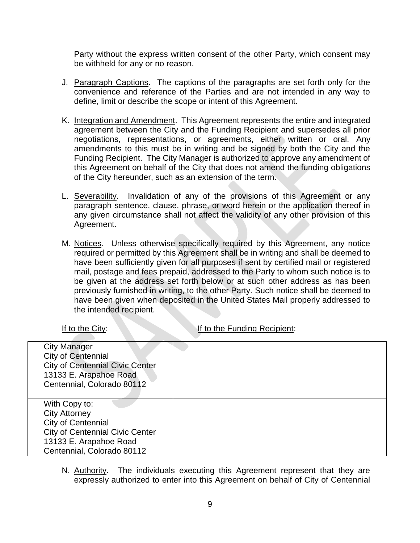Party without the express written consent of the other Party, which consent may be withheld for any or no reason.

- J. Paragraph Captions. The captions of the paragraphs are set forth only for the convenience and reference of the Parties and are not intended in any way to define, limit or describe the scope or intent of this Agreement.
- K. Integration and Amendment. This Agreement represents the entire and integrated agreement between the City and the Funding Recipient and supersedes all prior negotiations, representations, or agreements, either written or oral. Any amendments to this must be in writing and be signed by both the City and the Funding Recipient. The City Manager is authorized to approve any amendment of this Agreement on behalf of the City that does not amend the funding obligations of the City hereunder, such as an extension of the term.
- L. Severability. Invalidation of any of the provisions of this Agreement or any paragraph sentence, clause, phrase, or word herein or the application thereof in any given circumstance shall not affect the validity of any other provision of this Agreement.
- M. Notices. Unless otherwise specifically required by this Agreement, any notice required or permitted by this Agreement shall be in writing and shall be deemed to have been sufficiently given for all purposes if sent by certified mail or registered mail, postage and fees prepaid, addressed to the Party to whom such notice is to be given at the address set forth below or at such other address as has been previously furnished in writing, to the other Party. Such notice shall be deemed to have been given when deposited in the United States Mail properly addressed to the intended recipient.

If to the City: If to the Funding Recipient:

| <b>City Manager</b>                    |  |
|----------------------------------------|--|
| City of Centennial                     |  |
| <b>City of Centennial Civic Center</b> |  |
| 13133 E. Arapahoe Road                 |  |
| Centennial, Colorado 80112             |  |
|                                        |  |
| With Copy to:                          |  |
| <b>City Attorney</b>                   |  |
| <b>City of Centennial</b>              |  |
| <b>City of Centennial Civic Center</b> |  |
| 13133 E. Arapahoe Road                 |  |
| Centennial, Colorado 80112             |  |

N. Authority. The individuals executing this Agreement represent that they are expressly authorized to enter into this Agreement on behalf of City of Centennial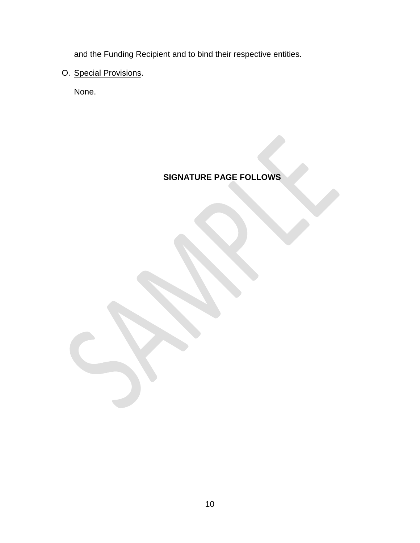and the Funding Recipient and to bind their respective entities.

# O. Special Provisions.

None.

# **SIGNATURE PAGE FOLLOWS**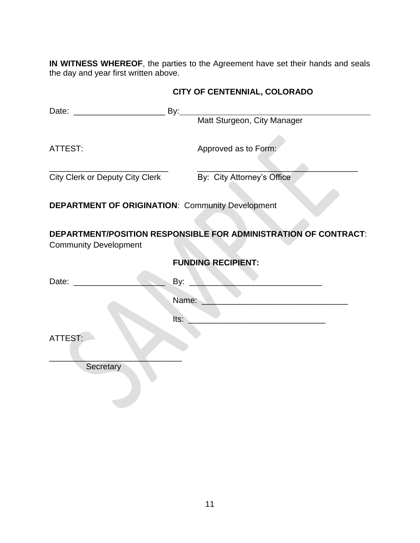**IN WITNESS WHEREOF**, the parties to the Agreement have set their hands and seals the day and year first written above.

| ATTEST:                                                                                                         | Approved as to Form:                                       |  |
|-----------------------------------------------------------------------------------------------------------------|------------------------------------------------------------|--|
|                                                                                                                 | City Clerk or Deputy City Clerk By: City Attorney's Office |  |
| <b>DEPARTMENT OF ORIGINATION: Community Development</b>                                                         |                                                            |  |
| DEPARTMENT/POSITION RESPONSIBLE FOR ADMINISTRATION OF CONTRACT:<br><b>Community Development</b>                 |                                                            |  |
|                                                                                                                 | <b>FUNDING RECIPIENT:</b>                                  |  |
| Date: and the part of the state of the state of the state of the state of the state of the state of the state o | By: $\overline{)}$                                         |  |
|                                                                                                                 | Name:                                                      |  |
|                                                                                                                 | lts:                                                       |  |
| ATTEST:                                                                                                         |                                                            |  |
| Secretary                                                                                                       |                                                            |  |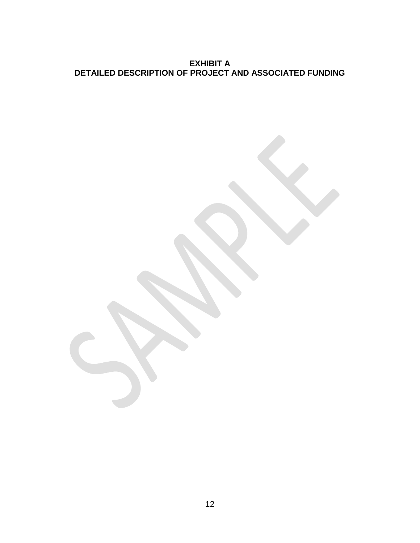**EXHIBIT A DETAILED DESCRIPTION OF PROJECT AND ASSOCIATED FUNDING**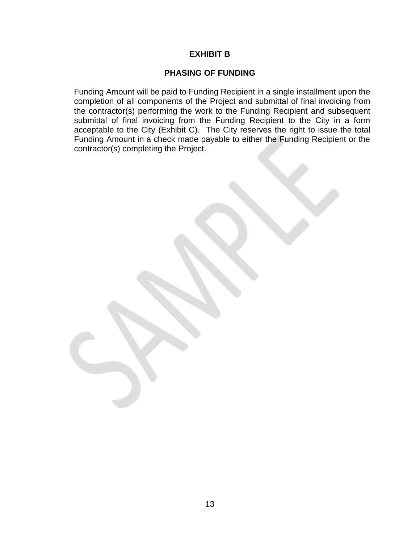#### **EXHIBIT B**

#### **PHASING OF FUNDING**

Funding Amount will be paid to Funding Recipient in a single installment upon the completion of all components of the Project and submittal of final invoicing from the contractor(s) performing the work to the Funding Recipient and subsequent submittal of final invoicing from the Funding Recipient to the City in a form acceptable to the City (Exhibit C). The City reserves the right to issue the total Funding Amount in a check made payable to either the Funding Recipient or the contractor(s) completing the Project.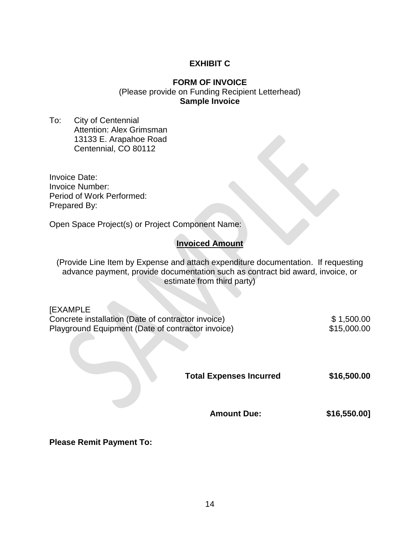# **EXHIBIT C**

#### **FORM OF INVOICE** (Please provide on Funding Recipient Letterhead) **Sample Invoice**

To: City of Centennial Attention: Alex Grimsman 13133 E. Arapahoe Road Centennial, CO 80112

Invoice Date: Invoice Number: Period of Work Performed: Prepared By:

Open Space Project(s) or Project Component Name:

# **Invoiced Amount**

(Provide Line Item by Expense and attach expenditure documentation. If requesting advance payment, provide documentation such as contract bid award, invoice, or estimate from third party)

[EXAMPLE Concrete installation (Date of contractor invoice) \$ 1,500.00 Playground Equipment (Date of contractor invoice) \$15,000.00

**Total Expenses Incurred \$16,500.00**

**Amount Due: \$16,550.00]**

**Please Remit Payment To:**